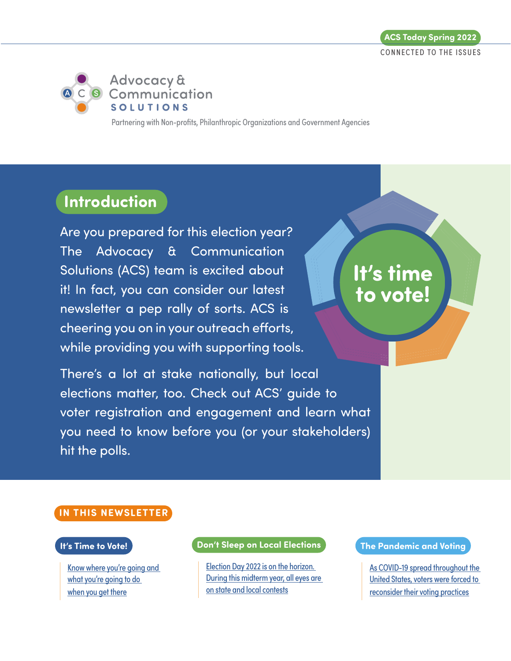

Partnering with Non-profits, Philanthropic Organizations and Government Agencies

# **Introduction**

Are you prepared for this election year? The Advocacy & Communication Solutions (ACS) team is excited about it! In fact, you can consider our latest newsletter a pep rally of sorts. ACS is cheering you on in your outreach efforts, while providing you with supporting tools.

There's a lot at stake nationally, but local elections matter, too. Check out ACS' guide to voter registration and engagement and learn what you need to know before you (or your stakeholders) hit the polls.

# **It's time to vote!**

#### **IN THIS NEWSLETTER**

#### **It's Time to Vote!**

[Know where you're going and](#page-1-0)  what you're going to do [when you get there](#page-1-0)

#### **Don't Sleep on Local Elections**

[Election Day 2022 is on the horizon.](#page-4-0) During this midterm year, all eyes are on state and local contests

#### **The Pandemic and Voting**

[As COVID-19 spread throughout the](#page-6-0)  [United States, voters were forced to](#page-6-0)  [reconsider their voting practices](#page-6-0)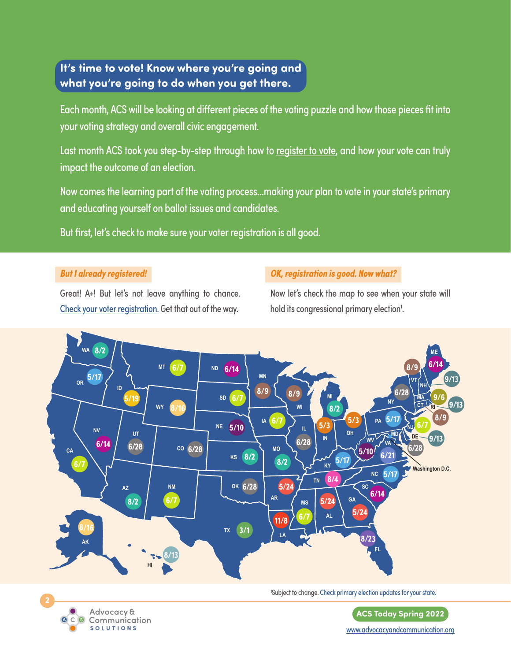## <span id="page-1-0"></span>**It's time to vote! Know where you're going and what you're going to do when you get there.**

Each month, ACS will be looking at different pieces of the voting puzzle and how those pieces fit into your voting strategy and overall civic engagement.

Last month ACS took you step-by-step through [how to register to vote](http://www.icontact-archive.com/archive?c=676730&f=1172&s=1214&m=1272917&t=e9bac7a617875f72b69e86cdf3da18263e0d328085436d9d54de8ef6e61bf418), and how your vote can truly impact the outcome of an election.

Now comes the learning part of the voting process…making your plan to vote in your state's primary and educating yourself on ballot issues and candidates.

But first, let's check to make sure your voter registration is all good.

#### **But I already registered!**

Great! A+! But let's not leave anything to chance. [Check your voter registration](https://www.eac.gov/voters/register-and-vote-in-your-state). Get that out of the way.

### **OK, registration is good. Now what?**

Now let's check the map to see when your state will hold its congressional primary election<sup>1</sup>. .





'Subject to change. [Check primary election updates for your state](https://www.fvap.gov/).

**ACS Today Spring 2022** [www.advocacyandcommunication.org](https://www.advocacyandcommunication.org/home/)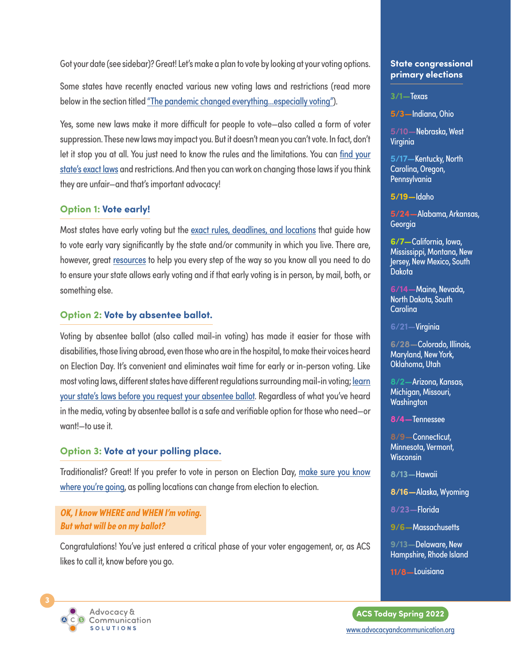Got your date (see sidebar)? Great! Let's make a plan to vote by looking at your voting options.

Some states have recently enacted various new voting laws and restrictions (read more below in the section titled "The pandemic changed everything...especially voting").

Yes, some new laws make it more difficult for people to vote—also called a form of voter suppression. These new laws may impact you. But it doesn't mean you can't vote. In fact, don't let it stop you at all. You just need to know the rules and the limitations. You can [find your](https://www.nass.org/can-i-vote/absentee-early-voting) [state's exact laws](https://www.nass.org/can-i-vote/absentee-early-voting) and restrictions. And then you can work on changing those laws if you think they are unfair—and that's important advocacy!

#### **Option 1: Vote early!**

Most states have early voting but the [exact rules, deadlines, and locations](https://www.ncsl.org/research/elections-and-campaigns/early-voting-in-state-elections.aspx) that guide how to vote early vary significantly by the state and/or community in which you live. There are, however, great [resources](https://www.vote411.org/) to help you every step of the way so you know all you need to do to ensure your state allows early voting and if that early voting is in person, by mail, both, or something else.

#### **Option 2: Vote by absentee ballot.**

Voting by absentee ballot (also called mail-in voting) has made it easier for those with disabilities, those living abroad, even those who are in the hospital, to make their voices heard on Election Day. It's convenient and eliminates wait time for early or in-person voting. Like most voting laws, different states have different regulations surrounding mail-in voting; [learn](https://www.vote.org/absentee-voting-rules/) [your state's laws before you request your absentee ballot](https://www.vote.org/absentee-voting-rules/). Regardless of what you've heard in the media, voting by absentee ballot is a safe and verifiable option for those who need—or want!—to use it.

#### **Option 3: Vote at your polling place.**

Traditionalist? Great! If you prefer to vote in person on Election Day, make sure you know [where you're going](https://www.vote411.org/?gclid=CjwKCAiAl-6PBhBCEiwAc2GOVHLoT27Cf76DdIpcsTxkD2ltf1kt5VZgmrMDK3pZNPjjgCybVwlVOBoCoo0QAvD_BwE), as polling locations can change from election to election.

**OK, I know WHERE and WHEN I'm voting. But what will be on my ballot?**

Congratulations! You've just entered a critical phase of your voter engagement, or, as ACS likes to call it, know before you go.

#### **State congressional primary elections**

**3/1—**Texas

**5/3—**Indiana, Ohio

**5/10—**Nebraska, West Virginia

**5/17—**Kentucky, North Carolina, Oregon, Pennsylvania

**5/19—**Idaho

**5/24—**Alabama, Arkansas, **Georgia** 

**6/7—**California, Iowa, Mississippi, Montana, New Jersey, New Mexico, South **Dakota** 

**6/14—**Maine, Nevada, North Dakota, South Carolina

**6/21—**Virginia

**6/28—**Colorado, Illinois, Maryland, New York, Oklahoma, Utah

**8/2—**Arizona, Kansas, Michigan, Missouri, **Washington** 

**8/4—**Tennessee

**8/9—**Connecticut, Minnesota, Vermont, **Wisconsin** 

**8/13—**Hawaii

**8/16—**Alaska, Wyoming

**8/23—**Florida

**9/6—**Massachusetts

**9/13—**Delaware, New Hampshire, Rhode Island

**11/8—**Louisiana

**ACS Today Spring 2022**

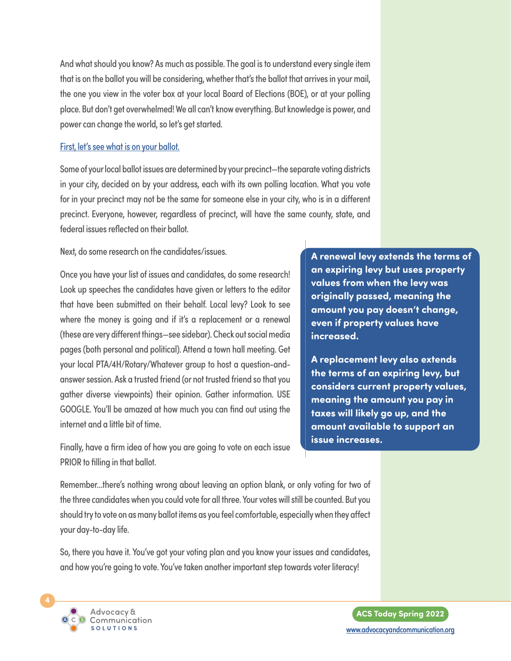And what should you know? As much as possible. The goal is to understand every single item that is on the ballot you will be considering, whether that's the ballot that arrives in your mail, the one you view in the voter box at your local Board of Elections (BOE), or at your polling place. But don't get overwhelmed! We all can't know everything. But knowledge is power, and power can change the world, so let's get started.

#### [First, let's see what is on your ballot.](https://www.vote411.org/?gclid=CjwKCAiAl-6PBhBCEiwAc2GOVHLoT27Cf76DdIpcsTxkD2ltf1kt5VZgmrMDK3pZNPjjgCybVwlVOBoCoo0QAvD_BwE)

Some of your local ballot issues are determined by your precinct—the separate voting districts in your city, decided on by your address, each with its own polling location. What you vote for in your precinct may not be the same for someone else in your city, who is in a different precinct. Everyone, however, regardless of precinct, will have the same county, state, and federal issues reflected on their ballot.

Next, do some research on the candidates/issues.

Once you have your list of issues and candidates, do some research! Look up speeches the candidates have given or letters to the editor that have been submitted on their behalf. Local levy? Look to see where the money is going and if it's a replacement or a renewal (these are very different things—see sidebar). Check out social media pages (both personal and political). Attend a town hall meeting. Get your local PTA/4H/Rotary/Whatever group to host a question-andanswer session. Ask a trusted friend (or not trusted friend so that you gather diverse viewpoints) their opinion. Gather information. USE GOOGLE. You'll be amazed at how much you can find out using the internet and a little bit of time.

Finally, have a firm idea of how you are going to vote on each issue PRIOR to filling in that ballot.

**A renewal levy extends the terms of an expiring levy but uses property values from when the levy was originally passed, meaning the amount you pay doesn't change, even if property values have increased.** 

**A replacement levy also extends the terms of an expiring levy, but considers current property values, meaning the amount you pay in taxes will likely go up, and the amount available to support an issue increases.**

Remember…there's nothing wrong about leaving an option blank, or only voting for two of the three candidates when you could vote for all three. Your votes will still be counted. But you should try to vote on as many ballot items as you feel comfortable, especially when they affect your day-to-day life.

So, there you have it. You've got your voting plan and you know your issues and candidates, and how you're going to vote. You've taken another important step towards voter literacy!

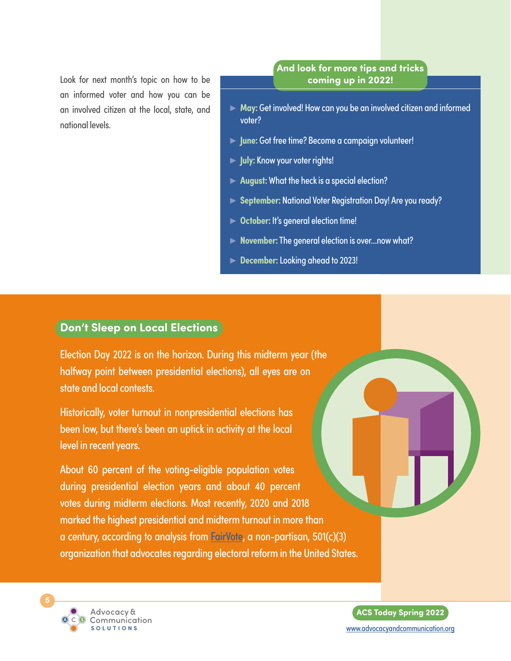<span id="page-4-0"></span>Look for next month's topic on how to be an informed voter and how you can be an involved citizen at the local, state, and national levels.

#### **And look for more tips and tricks coming up in 2022!**

- ► **May:** Get involved! How can you be an involved citizen and informed voter?
- ► **June:** Got free time? Become a campaign volunteer!
- ► **July:** Know your voter rights!
- ► **August:** What the heck is a special election?
- ► **September:** National Voter Registration Day! Are you ready?
- ► **October:** It's general election time!
- ► **November:** The general election is over…now what?
- ► **December:** Looking ahead to 2023!

### **Don't Sleep on Local Elections**

Election Day 2022 is on the horizon. During this midterm year (the halfway point between presidential elections), all eyes are on state and local contests.

Historically, voter turnout in nonpresidential elections has been low, but there's been an uptick in activity at the local level in recent years.

About 60 percent of the voting-eligible population votes during presidential election years and about 40 percent votes during midterm elections. Most recently, 2020 and 2018 marked the highest presidential and midterm turnout in more than a century, according to analysis from [FairVote](https://www.fairvote.org/voter_turnout#voter_turnout_101), a non-partisan, 501(c)(3) organization that advocates regarding electoral reform in the United States.



**ACS Today Spring 2022** [www.advocacyandcommunication.org](https://www.advocacyandcommunication.org/home/)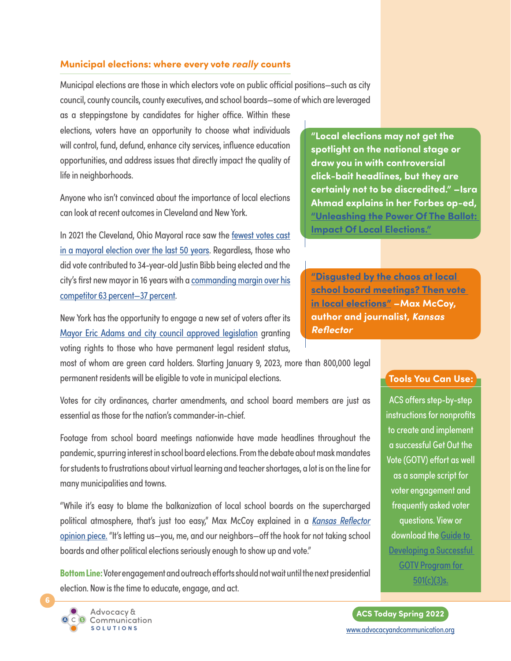#### **Municipal elections: where every vote** *really* **counts**

Municipal elections are those in which electors vote on public official positions—such as city council, county councils, county executives, and school boards—some of which are leveraged

as a steppingstone by candidates for higher office. Within these elections, voters have an opportunity to choose what individuals will control, fund, defund, enhance city services, influence education opportunities, and address issues that directly impact the quality of life in neighborhoods.

Anyone who isn't convinced about the importance of local elections can look at recent outcomes in Cleveland and New York.

In 2021 the Cleveland, Ohio Mayoral race saw the [fewest votes cast](https://www.cleveland.com/cityhall/2021/11/precinct-level-data-shows-how-commanding-justin-bibb-was-in-the-cleveland-mayoral-election.html)  [in a mayoral election over the last 50 years.](https://www.cleveland.com/cityhall/2021/11/precinct-level-data-shows-how-commanding-justin-bibb-was-in-the-cleveland-mayoral-election.html) Regardless, those who did vote contributed to 34-year-old Justin Bibb being elected and the city's first new mayor in 16 years with a [commanding margin over his](https://www.cleveland.com/cityhall/2021/11/precinct-level-data-shows-how-commanding-justin-bibb-was-in-the-cleveland-mayoral-election.html) [competitor 63 percent—37 percent.](https://www.cleveland.com/cityhall/2021/11/precinct-level-data-shows-how-commanding-justin-bibb-was-in-the-cleveland-mayoral-election.html)

New York has the opportunity to engage a new set of voters after its [Mayor Eric Adams and city council approved legislation](https://www.nytimes.com/2022/01/09/nyregion/noncitizens-nyc-voting-rights.html) granting voting rights to those who have permanent legal resident status,

most of whom are green card holders. Starting January 9, 2023, more than 800,000 legal permanent residents will be eligible to vote in municipal elections.

Votes for city ordinances, charter amendments, and school board members are just as essential as those for the nation's commander-in-chief.

Footage from school board meetings nationwide have made headlines throughout the pandemic, spurring interest in school board elections. From the debate about mask mandates for students to frustrations about virtual learning and teacher shortages, a lot is on the line for many municipalities and towns.

"While it's easy to blame the balkanization of local school boards on the supercharged political atmosphere, that's just too easy," Max McCoy explained in a *[Kansas Reflector](https://kansasreflector.com/2022/01/30/disgusted-by-the-chaos-at-local-school-board-meetings-then-vote-in-local-elections/)* [opinion piece.](https://kansasreflector.com/2022/01/30/disgusted-by-the-chaos-at-local-school-board-meetings-then-vote-in-local-elections/) "It's letting us—you, me, and our neighbors—off the hook for not taking school boards and other political elections seriously enough to show up and vote."

**Bottom Line:** Voter engagement and outreach efforts should not wait until the next presidential election. Now is the time to educate, engage, and act.

**"Local elections may not get the spotlight on the national stage or draw you in with controversial click-bait headlines, but they are certainly not to be discredited." –Isra Ahmad explains in her Forbes op-ed, ["Unleashing the Power Of The Ballot:](https://www.forbes.com/sites/civicnation/2020/09/04/unleashing-the-power-of-the-ballot-impact-of-local-elections/?sh=4add91e44545)  [Impact Of Local Elections."](https://www.forbes.com/sites/civicnation/2020/09/04/unleashing-the-power-of-the-ballot-impact-of-local-elections/?sh=4add91e44545)**

**["Disgusted by the chaos at local](https://kansasreflector.com/2022/01/30/disgusted-by-the-chaos-at-local-school-board-meetings-then-vote-in-local-elections/)  [school board meetings? Then vote](https://kansasreflector.com/2022/01/30/disgusted-by-the-chaos-at-local-school-board-meetings-then-vote-in-local-elections/)  [in local elections"](https://kansasreflector.com/2022/01/30/disgusted-by-the-chaos-at-local-school-board-meetings-then-vote-in-local-elections/) –Max McCoy, author and journalist,** *Kansas Reflector*

#### **Tools You Can Use:**

ACS offers step-by-step instructions for nonprofits to create and implement a successful Get Out the Vote (GOTV) effort as well as a sample script for voter engagement and frequently asked voter questions. View or download the [Guide to](https://www.advocacyandcommunication.org/wp-content/uploads/2018/03/Get_Out_the_Vote_GOTV-1.pdf)  Developing a Successful [GOTV Program for](https://www.advocacyandcommunication.org/wp-content/uploads/2018/03/Get_Out_the_Vote_GOTV-1.pdf)  [501\(c\)\(3\)s](https://www.advocacyandcommunication.org/wp-content/uploads/2018/03/Get_Out_the_Vote_GOTV-1.pdf).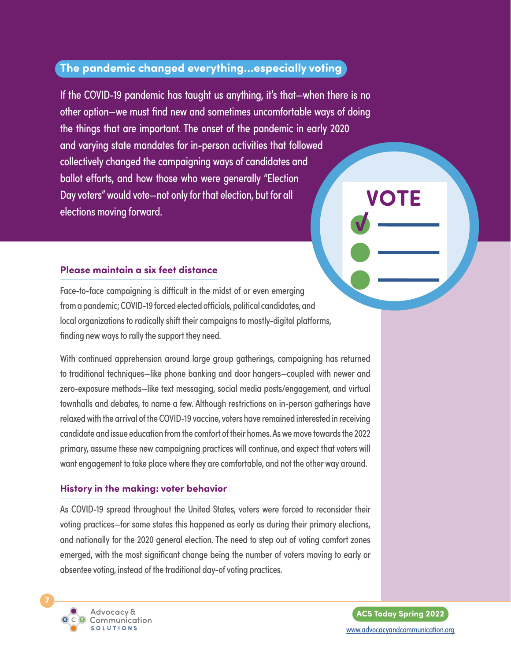## <span id="page-6-0"></span>**The pandemic changed everything…especially voting**

If the COVID-19 pandemic has taught us anything, it's that—when there is no other option—we must find new and sometimes uncomfortable ways of doing the things that are important. The onset of the pandemic in early 2020 and varying state mandates for in-person activities that followed collectively changed the campaigning ways of candidates and ballot efforts, and how those who were generally "Election Day voters" would vote—not only for that election, but for all elections moving forward. **VOTE**

#### **Please maintain a six feet distance**

Face-to-face campaigning is difficult in the midst of or even emerging from a pandemic; COVID-19 forced elected officials, political candidates, and local organizations to radically shift their campaigns to mostly-digital platforms, finding new ways to rally the support they need.

With continued apprehension around large group gatherings, campaigning has returned to traditional techniques—like phone banking and door hangers—coupled with newer and zero-exposure methods—like text messaging, social media posts/engagement, and virtual townhalls and debates, to name a few. Although restrictions on in-person gatherings have relaxed with the arrival of the COVID-19 vaccine, voters have remained interested in receiving candidate and issue education from the comfort of their homes. As we move towards the 2022 primary, assume these new campaigning practices will continue, and expect that voters will want engagement to take place where they are comfortable, and not the other way around.

#### **History in the making: voter behavior**

As COVID-19 spread throughout the United States, voters were forced to reconsider their voting practices—for some states this happened as early as during their primary elections, and nationally for the 2020 general election. The need to step out of voting comfort zones emerged, with the most significant change being the number of voters moving to early or absentee voting, instead of the traditional day-of voting practices.



**ACS Today Spring 2022** [www.advocacyandcommunication.org](https://www.advocacyandcommunication.org/home/)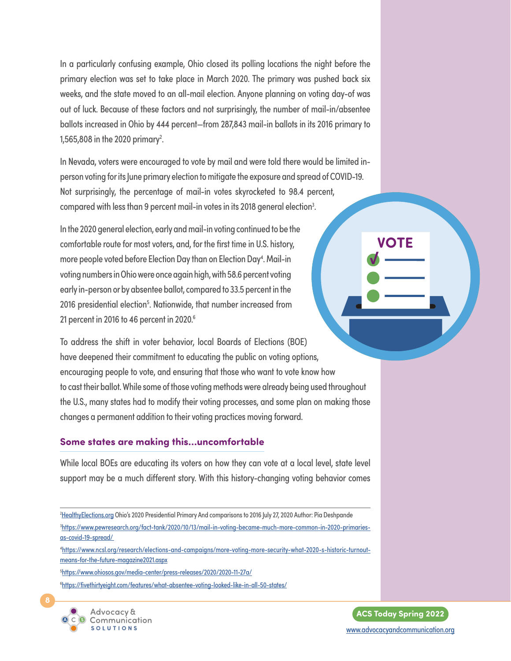In a particularly confusing example, Ohio closed its polling locations the night before the primary election was set to take place in March 2020. The primary was pushed back six weeks, and the state moved to an all-mail election. Anyone planning on voting day-of was out of luck. Because of these factors and not surprisingly, the number of mail-in/absentee ballots increased in Ohio by 444 percent—from 287,843 mail-in ballots in its 2016 primary to 1,565,808 in the 2020 primary<sup>2</sup>.

In Nevada, voters were encouraged to vote by mail and were told there would be limited inperson voting for its June primary election to mitigate the exposure and spread of COVID-19. Not surprisingly, the percentage of mail-in votes skyrocketed to 98.4 percent, compared with less than 9 percent mail-in votes in its 2018 general election<sup>3</sup>. .

In the 2020 general election, early and mail-in voting continued to be the comfortable route for most voters, and, for the first time in U.S. history, more people voted before Election Day than on Election Day<sup>4</sup>. Mail-in voting numbers in Ohio were once again high, with 58.6 percent voting early in-person or by absentee ballot, compared to 33.5 percent in the 2016 presidential election<sup>5</sup>. Nationwide, that number increased from 21 percent in 2016 to 46 percent in 2020.<sup>6</sup>

To address the shift in voter behavior, local Boards of Elections (BOE) have deepened their commitment to educating the public on voting options, encouraging people to vote, and ensuring that those who want to vote know how to cast their ballot. While some of those voting methods were already being used throughout the U.S., many states had to modify their voting processes, and some plan on making those changes a permanent addition to their voting practices moving forward.

#### **Some states are making this…uncomfortable**

While local BOEs are educating its voters on how they can vote at a local level, state level support may be a much different story. With this history-changing voting behavior comes

<sup>2</sup><u>[HealthyElections.org](http://healthyelections.org/)</u> Ohio's 2020 Presidential Primary And comparisons to 2016 July 27, 2020 Author: Pia Deshpande 3 [https://www.pewresearch.org/fact-tank/2020/10/13/mail-in-voting-became-much-more-common-in-2020-primaries](https://www.pewresearch.org/fact-tank/2020/10/13/mail-in-voting-became-much-more-common-in-2020-primaries-as-covid-19-spread/)[as-covid-19-spread/](https://www.pewresearch.org/fact-tank/2020/10/13/mail-in-voting-became-much-more-common-in-2020-primaries-as-covid-19-spread/) 4 [https://www.ncsl.org/research/elections-and-campaigns/more-voting-more-security-what-2020-s-historic-turnout](https://www.ncsl.org/research/elections-and-campaigns/more-voting-more-security-what-2020-s-historic-turnout-means-for-the-future-magazine2021.aspx)[means-for-the-future-magazine2021.aspx](https://www.ncsl.org/research/elections-and-campaigns/more-voting-more-security-what-2020-s-historic-turnout-means-for-the-future-magazine2021.aspx)

5 <https://www.ohiosos.gov/media-center/press-releases/2020/2020-11-27a/>

6 <https://fivethirtyeight.com/features/what-absentee-voting-looked-like-in-all-50-states/>





**VOTE**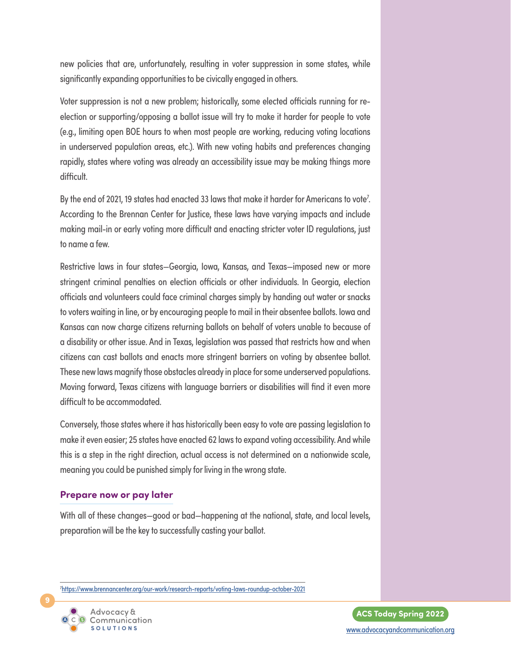new policies that are, unfortunately, resulting in voter suppression in some states, while significantly expanding opportunities to be civically engaged in others.

Voter suppression is not a new problem; historically, some elected officials running for reelection or supporting/opposing a ballot issue will try to make it harder for people to vote (e.g., limiting open BOE hours to when most people are working, reducing voting locations in underserved population areas, etc.). With new voting habits and preferences changing rapidly, states where voting was already an accessibility issue may be making things more difficult.

By the end of 2021, 19 states had enacted 33 laws that make it harder for Americans to vote<sup>7</sup>. According to the Brennan Center for Justice, these laws have varying impacts and include making mail-in or early voting more difficult and enacting stricter voter ID regulations, just to name a few.

Restrictive laws in four states—Georgia, Iowa, Kansas, and Texas—imposed new or more stringent criminal penalties on election officials or other individuals. In Georgia, election officials and volunteers could face criminal charges simply by handing out water or snacks to voters waiting in line, or by encouraging people to mail in their absentee ballots. Iowa and Kansas can now charge citizens returning ballots on behalf of voters unable to because of a disability or other issue. And in Texas, legislation was passed that restricts how and when citizens can cast ballots and enacts more stringent barriers on voting by absentee ballot. These new laws magnify those obstacles already in place for some underserved populations. Moving forward, Texas citizens with language barriers or disabilities will find it even more difficult to be accommodated.

Conversely, those states where it has historically been easy to vote are passing legislation to make it even easier; 25 states have enacted 62 laws to expand voting accessibility. And while this is a step in the right direction, actual access is not determined on a nationwide scale, meaning you could be punished simply for living in the wrong state.

#### **Prepare now or pay later**

With all of these changes—good or bad—happening at the national, state, and local levels, preparation will be the key to successfully casting your ballot.

7 <https://www.brennancenter.org/our-work/research-reports/voting-laws-roundup-october-2021>



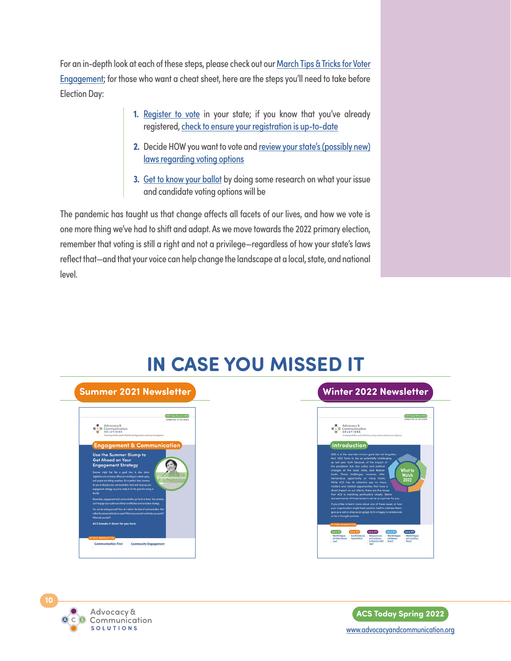For an in-depth look at each of these steps, please check out our [March Tips & Tricks for Voter](http://www.icontact-archive.com/archive?c=676730&f=1172&s=1214&m=1272917&t=e9bac7a617875f72b69e86cdf3da18263e0d328085436d9d54de8ef6e61bf418) [Engagement;](http://www.icontact-archive.com/archive?c=676730&f=1172&s=1214&m=1272917&t=e9bac7a617875f72b69e86cdf3da18263e0d328085436d9d54de8ef6e61bf418) for those who want a cheat sheet, here are the steps you'll need to take before Election Day:

- **1.** [Register to vote](https://vote.gov/) in your state; if you know that you've already registered, [check to ensure your registration is up-to-date](https://www.vote411.org/check-registration?gclid=CjwKCAiAgvKQBhBbEiwAaPQw3HdzRlQSWk8upEjGqZmrg3uGUA1MYOw5szs2DxmME8QnGkzESGnf0RoCe5QQAvD_BwE)
- 2. Decide HOW you want to vote and review your state's (possibly new) [laws regarding voting options](https://www.nass.org/can-i-vote/absentee-early-voting)
- **3.** [Get to know your ballot](https://www.vote411.org/?gclid=CjwKCAiAl-6PBhBCEiwAc2GOVHLoT27Cf76DdIpcsTxkD2ltf1kt5VZgmrMDK3pZNPjjgCybVwlVOBoCoo0QAvD_BwE) by doing some research on what your issue and candidate voting options will be

The pandemic has taught us that change affects all facets of our lives, and how we vote is one more thing we've had to shift and adapt. As we move towards the 2022 primary election, remember that voting is still a right and not a privilege—regardless of how your state's laws reflect that—and that your voice can help change the landscape at a local, state, and national level.

# **IN CASE YOU MISSED IT**

# **Summer 2021 Newsletter** ACS Today Summer 2021 er Slumn to ad on Y nent Strategy ation First **Community Engagement**

## **Winter 2022 Newsletter**